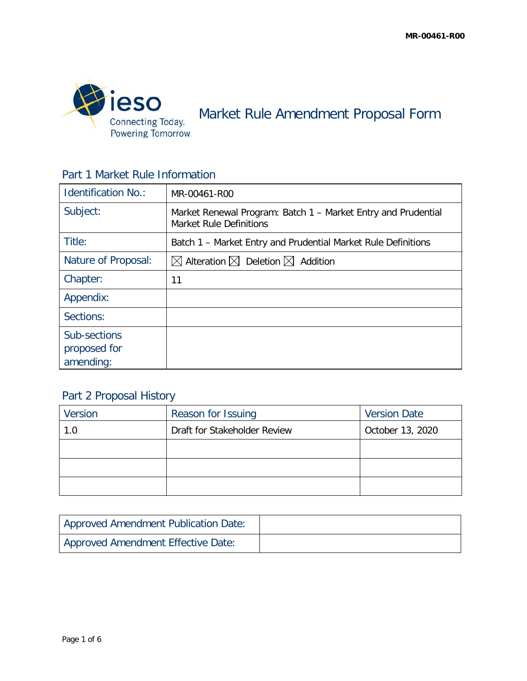

Market Rule Amendment Proposal Form

### Part 1 Market Rule Information

| <b>Identification No.:</b>                | MR-00461-R00                                                                                    |
|-------------------------------------------|-------------------------------------------------------------------------------------------------|
| Subject:                                  | Market Renewal Program: Batch 1 – Market Entry and Prudential<br><b>Market Rule Definitions</b> |
| Title:                                    | Batch 1 - Market Entry and Prudential Market Rule Definitions                                   |
| Nature of Proposal:                       | $\boxtimes$ Alteration $\boxtimes$ Deletion $\boxtimes$ Addition                                |
| Chapter:                                  | 11                                                                                              |
| Appendix:                                 |                                                                                                 |
| Sections:                                 |                                                                                                 |
| Sub-sections<br>proposed for<br>amending: |                                                                                                 |

# Part 2 Proposal History

| Version | Reason for Issuing           | <b>Version Date</b> |
|---------|------------------------------|---------------------|
| 1.0     | Draft for Stakeholder Review | October 13, 2020    |
|         |                              |                     |
|         |                              |                     |
|         |                              |                     |

| <b>Approved Amendment Publication Date:</b> |  |
|---------------------------------------------|--|
| Approved Amendment Effective Date:          |  |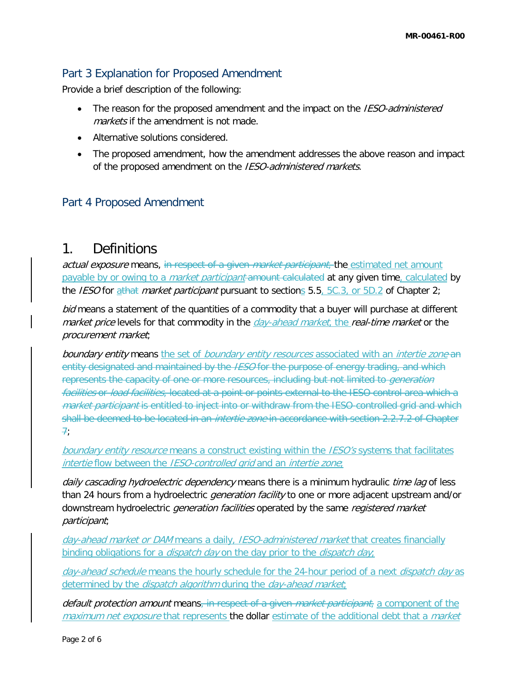### Part 3 Explanation for Proposed Amendment

Provide a brief description of the following:

- The reason for the proposed amendment and the impact on the IESO-administered markets if the amendment is not made.
- Alternative solutions considered.
- The proposed amendment, how the amendment addresses the above reason and impact of the proposed amendment on the IESO-administered markets.

#### Part 4 Proposed Amendment

## 1. Definitions

actual exposure means, in respect of a given market participant, the estimated net amount payable by or owing to a *market participant* amount calculated at any given time, calculated by the *IESO* for athat *market participant* pursuant to sections  $5.5, 5C.3$ , or  $5D.2$  of Chapter 2;

bid means a statement of the quantities of a commodity that a buyer will purchase at different market price levels for that commodity in the *day-ahead market*, the real-time market or the procurement market;

boundary entity means the set of boundary entity resources associated with an intertie zone an entity designated and maintained by the IESO for the purpose of energy trading, and which represents the capacity of one or more resources, including but not limited to *generation* facilities or load facilities, located at a point or points external to the IESO control area which a market participant is entitled to inject into or withdraw from the IESO-controlled grid and which shall be deemed to be located in an *intertie zone* in accordance with section 2.2.7.2 of Chapter 7;

boundary entity resource means a construct existing within the *IESO's* systems that facilitates intertie flow between the IESO-controlled grid and an intertie zone;

daily cascading hydroelectric dependency means there is a minimum hydraulic time lag of less than 24 hours from a hydroelectric *generation facility* to one or more adjacent upstream and/or downstream hydroelectric *generation facilities* operated by the same *registered market* participant;

day-ahead market or DAM means a daily, IESO-administered market that creates financially binding obligations for a *dispatch day* on the day prior to the *dispatch day*;

day-ahead schedule means the hourly schedule for the 24-hour period of a next dispatch day as determined by the *dispatch algorithm* during the *day-ahead market*;

default protection amount means, in respect of a given *market participant*, a component of the maximum net exposure that represents the dollar estimate of the additional debt that a market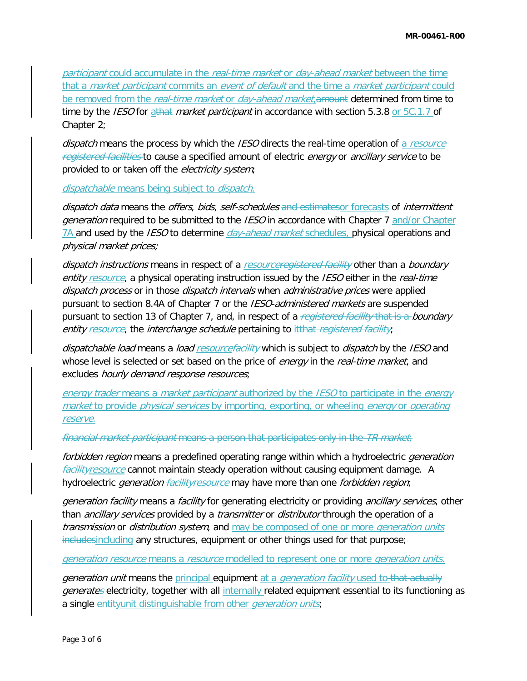participant could accumulate in the real-time market or day-ahead market between the time that a *market participant* commits an *event of default* and the time a *market participant* could be removed from the real-time market or day-ahead market, amount determined from time to time by the *IESO* for  $\frac{athat}{}$  market participant in accordance with section 5.3.8 or  $5C.1.7$  of Chapter 2;

dispatch means the process by which the IESO directs the real-time operation of a resource registered facilities to cause a specified amount of electric energy or ancillary service to be provided to or taken off the electricity system;

dispatchable means being subject to dispatch.

dispatch data means the offers, bids, self-schedules and estimatesor forecasts of intermittent generation required to be submitted to the *IESO* in accordance with Chapter 7 and/or Chapter 7A and used by the IESO to determine *day-ahead market* schedules, physical operations and physical market prices;

dispatch instructions means in respect of a resourceregistered facility other than a boundary entity resource, a physical operating instruction issued by the IESO either in the real-time dispatch process or in those dispatch intervals when administrative prices were applied pursuant to section 8.4A of Chapter 7 or the *IESO-administered markets* are suspended pursuant to section 13 of Chapter 7, and, in respect of a registered facility that is a boundary entity resource, the interchange schedule pertaining to itthat registered facility;

dispatchable load means a load resourcefacility which is subject to dispatch by the IESO and whose level is selected or set based on the price of energy in the real-time market, and excludes *hourly demand response resources*;

energy trader means a *market participant* authorized by the *IESO* to participate in the *energy* market to provide *physical services* by importing, exporting, or wheeling *energy* or *operating* reserve.

financial market participant means a person that participates only in the TR market;

forbidden region means a predefined operating range within which a hydroelectric *generation facilityresource* cannot maintain steady operation without causing equipment damage. A hydroelectric *generation facilityresource* may have more than one *forbidden region*;

generation facility means a facility for generating electricity or providing ancillary services, other than *ancillary services* provided by a *transmitter* or *distributor* through the operation of a transmission or distribution system, and may be composed of one or more generation units includesincluding any structures, equipment or other things used for that purpose;

generation resource means a resource modelled to represent one or more *generation units*.

generation unit means the principal equipment at a *generation facility* used to that actually generates electricity, together with all internally related equipment essential to its functioning as a single entityunit distinguishable from other *generation units*;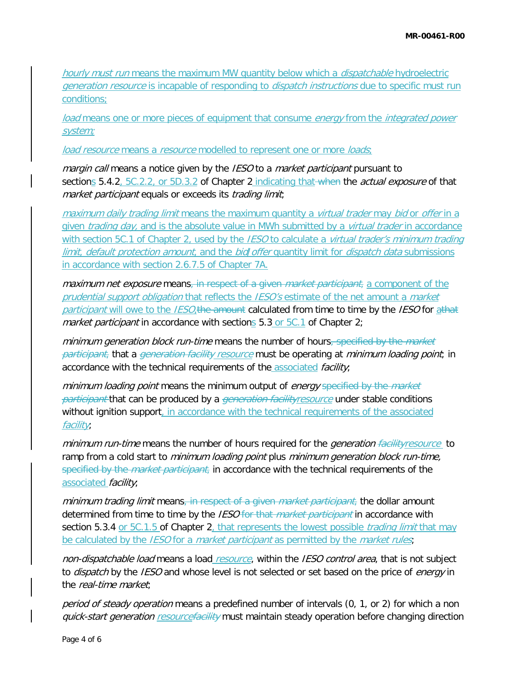hourly must run means the maximum MW quantity below which a *dispatchable* hydroelectric generation resource is incapable of responding to *dispatch instructions* due to specific must run conditions;

load means one or more pieces of equipment that consume energy from the integrated power system;

load resource means a resource modelled to represent one or more loads;

margin call means a notice given by the IESO to a market participant pursuant to sections 5.4.2, 5C.2.2, or 5D.3.2 of Chapter 2 indicating that when the *actual exposure* of that market participant equals or exceeds its trading limit;

maximum daily trading limit means the maximum quantity a virtual trader may bid or offer in a given *trading day*, and is the absolute value in MWh submitted by a *virtual trader* in accordance with section 5C.1 of Chapter 2, used by the *IESO* to calculate a *virtual trader's minimum trading* limit, default protection amount, and the bidl offer quantity limit for dispatch data submissions in accordance with section 2.6.7.5 of Chapter 7A.

maximum net exposure means, in respect of a given market participant, a component of the prudential support obligation that reflects the IESO's estimate of the net amount a market participant will owe to the IESO<sub>4</sub>the amount calculated from time to time by the IESO for athat market participant in accordance with sections  $5.3$  or  $5C.1$  of Chapter 2;

minimum generation block run-time means the number of hours, specified by the market participant, that a generation facility resource must be operating at minimum loading point; in accordance with the technical requirements of the associated *facility*;

minimum loading point means the minimum output of energy specified by the market participant that can be produced by a *generation facilityresource* under stable conditions without ignition support, in accordance with the technical requirements of the associated facility;

minimum run-time means the number of hours required for the *generation facilityresource* to ramp from a cold start to minimum loading point plus minimum generation block run-time, specified by the *market participant*, in accordance with the technical requirements of the associated *facility*;

minimum trading limit means, in respect of a given market participant, the dollar amount determined from time to time by the IESO for that market participant in accordance with section 5.3.4 or 5C.1.5 of Chapter 2, that represents the lowest possible *trading limit* that may be calculated by the *IESO* for a *market participant* as permitted by the *market rules*;

non-dispatchable load means a load resource, within the IESO control area, that is not subject to *dispatch* by the IESO and whose level is not selected or set based on the price of *energy* in the real-time market;

period of steady operation means a predefined number of intervals (0, 1, or 2) for which a non quick-start generation resourcefacility must maintain steady operation before changing direction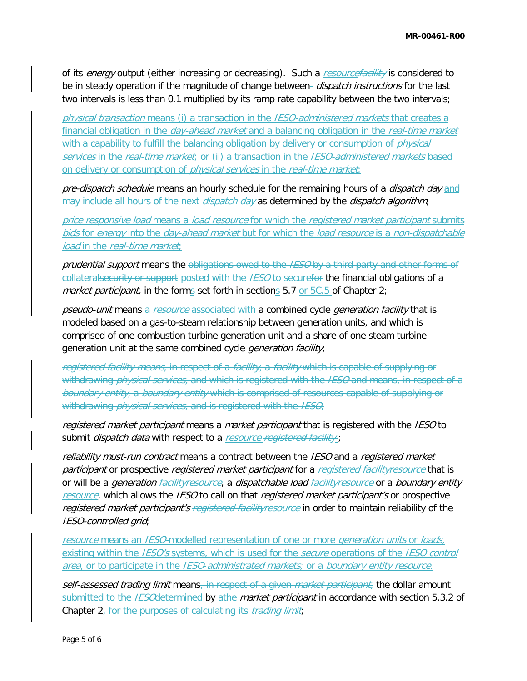of its *energy* output (either increasing or decreasing). Such a resourcefacility is considered to be in steady operation if the magnitude of change between- *dispatch instructions* for the last two intervals is less than 0.1 multiplied by its ramp rate capability between the two intervals;

physical transaction means (i) a transaction in the IESO-administered markets that creates a financial obligation in the *day-ahead market* and a balancing obligation in the *real-time market* with a capability to fulfill the balancing obligation by delivery or consumption of *physical* services in the real-time market; or (ii) a transaction in the IESO-administered markets based on delivery or consumption of *physical services* in the *real-time market*;

pre-dispatch schedule means an hourly schedule for the remaining hours of a dispatch day and may include all hours of the next *dispatch day* as determined by the *dispatch algorithm*;

price responsive load means a load resource for which the registered market participant submits bids for energy into the day-ahead market but for which the load resource is a non-dispatchable load in the real-time market;

prudential support means the obligations owed to the IESO by a third party and other forms of collateralsecurity or support posted with the IESO to securefor the financial obligations of a market participant, in the forms set forth in sections  $5.7$  or  $5C.5$  of Chapter 2;

pseudo-unit means a resource associated with a combined cycle *generation facility* that is modeled based on a gas-to-steam relationship between generation units, and which is comprised of one combustion turbine generation unit and a share of one steam turbine generation unit at the same combined cycle *generation facility*;

registered facility means, in respect of a *facility*, a facility which is capable of supplying or withdrawing *physical services,* and which is registered with the *IESO* and means, in respect of a boundary entity, a boundary entity which is comprised of resources capable of supplying or withdrawing *physical services*, and is registered with the IESO;

registered market participant means a market participant that is registered with the IESO to submit *dispatch data* with respect to a resource registered facility;

reliability must-run contract means a contract between the IESO and a registered market participant or prospective registered market participant for a registered facilityresource that is or will be a generation facility resource, a dispatchable load facility resource or a boundary entity resource, which allows the IESO to call on that registered market participant's or prospective registered market participant's registered facility resource in order to maintain reliability of the IESO-controlled grid;

resource means an IESO-modelled representation of one or more *generation units* or *loads*, existing within the IESO's systems, which is used for the secure operations of the IESO control area, or to participate in the IESO-administrated markets; or a boundary entity resource.

self-assessed trading limit means, in respect of a given *market participant*, the dollar amount submitted to the *IESO* determined by athe market participant in accordance with section 5.3.2 of Chapter 2, for the purposes of calculating its *trading limit*;